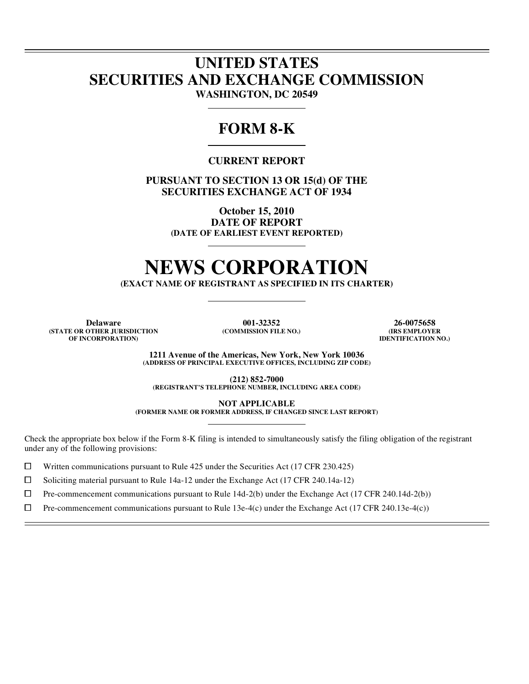### **UNITED STATES SECURITIES AND EXCHANGE COMMISSION WASHINGTON, DC 20549**

## **FORM 8-K**

### **CURRENT REPORT**

**PURSUANT TO SECTION 13 OR 15(d) OF THE SECURITIES EXCHANGE ACT OF 1934** 

> **October 15, 2010 DATE OF REPORT (DATE OF EARLIEST EVENT REPORTED)**

# **NEWS CORPORATION**

**(EXACT NAME OF REGISTRANT AS SPECIFIED IN ITS CHARTER)** 

**(STATE OR OTHER JURISDICTION OF INCORPORATION)**

l  $\overline{a}$ 

l

**Delaware 001-32352 26-0075658**<br> **101-32352 26-0075658 26-0075658**<br> **26-0075658 26-0075658 (COMMISSION FILE NO.)** 

**IDENTIFICATION NO.)**

**1211 Avenue of the Americas, New York, New York 10036 (ADDRESS OF PRINCIPAL EXECUTIVE OFFICES, INCLUDING ZIP CODE)** 

**(212) 852-7000 (REGISTRANT'S TELEPHONE NUMBER, INCLUDING AREA CODE)** 

**NOT APPLICABLE** 

**(FORMER NAME OR FORMER ADDRESS, IF CHANGED SINCE LAST REPORT)** 

Check the appropriate box below if the Form 8-K filing is intended to simultaneously satisfy the filing obligation of the registrant under any of the following provisions:

Written communications pursuant to Rule 425 under the Securities Act (17 CFR 230.425)

<p>\n 10 Soliciting material pursuit to Rule 14a-12 under the Exchange Act (17 CFR 240.14a-12)<br/>\n 11 Pre-component communications pursuit to Rule 14d-2(b) under the Exchange Act (17 CFR 240.14a-12)<br/>\n 12 Deschange Act (17 CFR 240.14a-12)<br/>\n 13 Deschange Act (180.14a-12)<br/>\n 140-2(b) under the Exchange Act (19.14a-12)<br/>\n 140-2(b) under the Exchange Act (19.14a-12)<br/>\n 140-2(b) under the Exchange Act (19.14a-12)<br/>\n

 $\Box$  Pre-commencement communications pursuant to Rule 14d-2(b) under the Exchange Act (17 CFR 240.14d-2(b))<br> $\Box$  Pre-commencement communications pursuant to Rule 13e-4(c) under the Exchange Act (17 CFR 240.13e-4(c))

Pre-commencement communications pursuant to Rule 13e-4(c) under the Exchange Act (17 CFR 240.13e-4(c))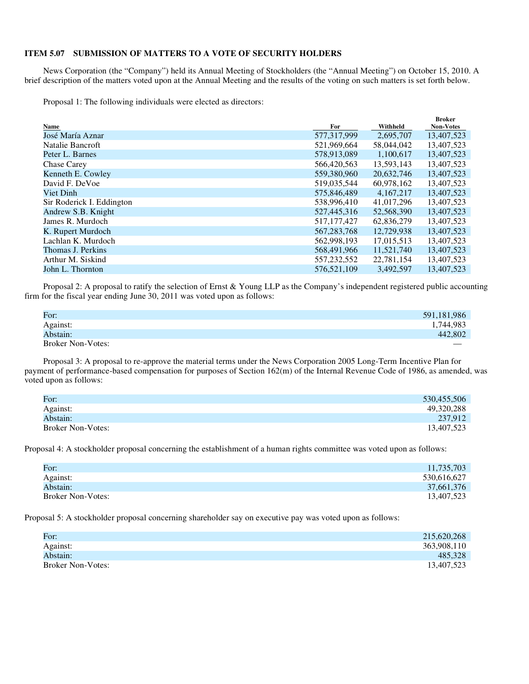#### **ITEM 5.07 SUBMISSION OF MATTERS TO A VOTE OF SECURITY HOLDERS**

News Corporation (the "Company") held its Annual Meeting of Stockholders (the "Annual Meeting") on October 15, 2010. A brief description of the matters voted upon at the Annual Meeting and the results of the voting on such matters is set forth below.

Proposal 1: The following individuals were elected as directors:

|                           |               |             | <b>Broker</b>    |
|---------------------------|---------------|-------------|------------------|
| Name                      | For           | Withheld    | <b>Non-Votes</b> |
| José María Aznar          | 577,317,999   | 2,695,707   | 13,407,523       |
| Natalie Bancroft          | 521,969,664   | 58,044,042  | 13,407,523       |
| Peter L. Barnes           | 578,913,089   | 1,100,617   | 13,407,523       |
| <b>Chase Carey</b>        | 566,420,563   | 13,593,143  | 13,407,523       |
| Kenneth E. Cowley         | 559,380,960   | 20,632,746  | 13,407,523       |
| David F. DeVoe            | 519,035,544   | 60,978,162  | 13,407,523       |
| Viet Dinh                 | 575,846,489   | 4, 167, 217 | 13,407,523       |
| Sir Roderick I. Eddington | 538,996,410   | 41.017.296  | 13,407,523       |
| Andrew S.B. Knight        | 527,445,316   | 52,568,390  | 13,407,523       |
| James R. Murdoch          | 517, 177, 427 | 62,836,279  | 13,407,523       |
| K. Rupert Murdoch         | 567, 283, 768 | 12.729.938  | 13,407,523       |
| Lachlan K. Murdoch        | 562,998,193   | 17.015.513  | 13,407,523       |
| Thomas J. Perkins         | 568,491,966   | 11,521,740  | 13,407,523       |
| Arthur M. Siskind         | 557,232,552   | 22,781,154  | 13,407,523       |
| John L. Thornton          | 576,521,109   | 3.492.597   | 13.407.523       |
|                           |               |             |                  |

Proposal 2: A proposal to ratify the selection of Ernst & Young LLP as the Company's independent registered public accounting firm for the fiscal year ending June 30, 2011 was voted upon as follows:

| For:                     | 591,181,986              |
|--------------------------|--------------------------|
| Against:                 | 1,744,983                |
| Abstain:                 | 442,802                  |
| <b>Broker Non-Votes:</b> | $\overline{\phantom{a}}$ |

Proposal 3: A proposal to re-approve the material terms under the News Corporation 2005 Long-Term Incentive Plan for payment of performance-based compensation for purposes of Section 162(m) of the Internal Revenue Code of 1986, as amended, was voted upon as follows:

| For:                     | 530,455,506 |
|--------------------------|-------------|
| Against:                 | 49.320.288  |
| Abstain:                 | 237,912     |
| <b>Broker Non-Votes:</b> | 13.407.523  |

Proposal 4: A stockholder proposal concerning the establishment of a human rights committee was voted upon as follows:

| For:                     | 11,735,703  |
|--------------------------|-------------|
| Against:                 | 530,616,627 |
| Abstain:                 | 37,661,376  |
| <b>Broker Non-Votes:</b> | 13,407,523  |

Proposal 5: A stockholder proposal concerning shareholder say on executive pay was voted upon as follows:

| For:                     | 215,620,268 |
|--------------------------|-------------|
| Against:                 | 363,908,110 |
| Abstain:                 | 485,328     |
| <b>Broker Non-Votes:</b> | 13,407,523  |